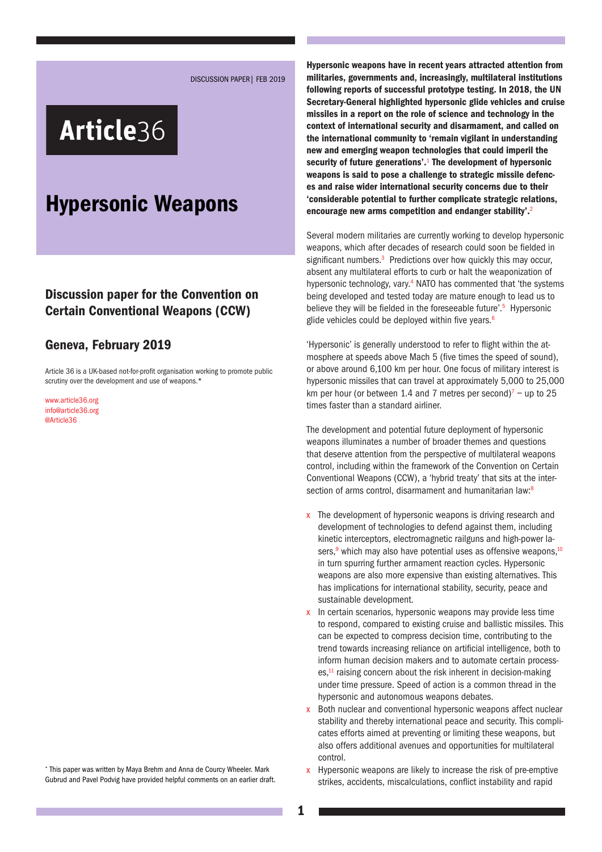DISCUSSION PAPER| FEB 2019

# Article36

## Hypersonic Weapons

#### Discussion paper for the Convention on Certain Conventional Weapons (CCW)

#### Geneva, February 2019

Article 36 is a UK-based not-for-profit organisation working to promote public scrutiny over the development and use of weapons.<sup>\*</sup>

[www.article36.org](http://www.article36.org) [info@article36.org](mailto:info@article36.org) [@Article36](mailto:@Article36)

\* This paper was written by Maya Brehm and Anna de Courcy Wheeler. Mark Gubrud and Pavel Podvig have provided helpful comments on an earlier draft.

Hypersonic weapons have in recent years attracted attention from militaries, governments and, increasingly, multilateral institutions following reports of successful prototype testing. In 2018, the UN Secretary-General highlighted hypersonic glide vehicles and cruise missiles in a report on the role of science and technology in the context of international security and disarmament, and called on the international community to 'remain vigilant in understanding new and emerging weapon technologies that could imperil the security of future generations'.<sup>1</sup> The development of hypersonic weapons is said to pose a challenge to strategic missile defences and raise wider international security concerns due to their 'considerable potential to further complicate strategic relations, encourage new arms competition and endanger stability'.<sup>2</sup>

Several modern militaries are currently working to develop hypersonic weapons, which after decades of research could soon be fielded in significant numbers.<sup>3</sup> Predictions over how quickly this may occur, absent any multilateral efforts to curb or halt the weaponization of hypersonic technology, vary.<sup>4</sup> NATO has commented that 'the systems being developed and tested today are mature enough to lead us to believe they will be fielded in the foreseeable future'.<sup>5</sup> Hypersonic glide vehicles could be deployed within five years. $6$ 

'Hypersonic' is generally understood to refer to flight within the atmosphere at speeds above Mach 5 (five times the speed of sound), or above around 6,100 km per hour. One focus of military interest is hypersonic missiles that can travel at approximately 5,000 to 25,000 km per hour (or between 1.4 and 7 metres per second)<sup>7</sup> – up to 25 times faster than a standard airliner.

The development and potential future deployment of hypersonic weapons illuminates a number of broader themes and questions that deserve attention from the perspective of multilateral weapons control, including within the framework of the Convention on Certain Conventional Weapons (CCW), a 'hybrid treaty' that sits at the intersection of arms control, disarmament and humanitarian law:<sup>8</sup>

- x The development of hypersonic weapons is driving research and development of technologies to defend against them, including kinetic interceptors, electromagnetic railguns and high-power lasers,<sup>9</sup> which may also have potential uses as offensive weapons,<sup>10</sup> in turn spurring further armament reaction cycles. Hypersonic weapons are also more expensive than existing alternatives. This has implications for international stability, security, peace and sustainable development.
- x In certain scenarios, hypersonic weapons may provide less time to respond, compared to existing cruise and ballistic missiles. This can be expected to compress decision time, contributing to the trend towards increasing reliance on artificial intelligence, both to inform human decision makers and to automate certain processes,<sup>11</sup> raising concern about the risk inherent in decision-making under time pressure. Speed of action is a common thread in the hypersonic and autonomous weapons debates.
- x Both nuclear and conventional hypersonic weapons affect nuclear stability and thereby international peace and security. This complicates efforts aimed at preventing or limiting these weapons, but also offers additional avenues and opportunities for multilateral control.
- x Hypersonic weapons are likely to increase the risk of pre-emptive strikes, accidents, miscalculations, conflict instability and rapid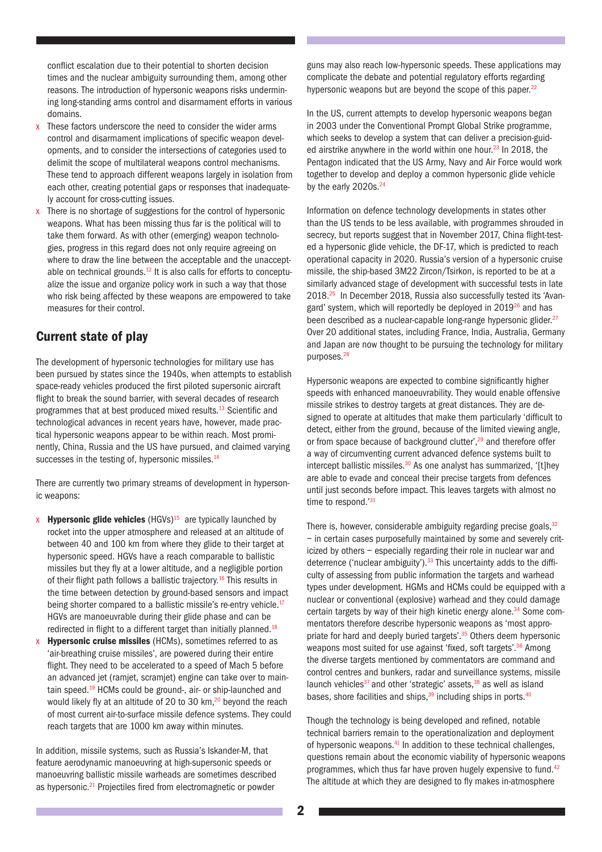conflict escalation due to their potential to shorten decision times and the nuclear ambiguity surrounding them, among other reasons. The introduction of hypersonic weapons risks undermining long-standing arms control and disarmament efforts in various domains.

- $x$  These factors underscore the need to consider the wider arms control and disarmament implications of specific weapon developments, and to consider the intersections of categories used to delimit the scope of multilateral weapons control mechanisms. These tend to approach different weapons largely in isolation from each other, creating potential gaps or responses that inadequately account for cross-cutting issues.
- $x$  There is no shortage of suggestions for the control of hypersonic weapons. What has been missing thus far is the political will to take them forward. As with other (emerging) weapon technologies, progress in this regard does not only require agreeing on where to draw the line between the acceptable and the unacceptable on technical grounds.<sup>12</sup> It is also calls for efforts to conceptualize the issue and organize policy work in such a way that those who risk being affected by these weapons are empowered to take measures for their control.

#### Current state of play

The development of hypersonic technologies for military use has been pursued by states since the 1940s, when attempts to establish space-ready vehicles produced the first piloted supersonic aircraft flight to break the sound barrier, with several decades of research programmes that at best produced mixed results.13 Scientific and technological advances in recent years have, however, made practical hypersonic weapons appear to be within reach. Most prominently, China, Russia and the US have pursued, and claimed varying successes in the testing of, hypersonic missiles.<sup>14</sup>

There are currently two primary streams of development in hypersonic weapons:

- **x Hypersonic glide vehicles**  $(HGVs)<sup>15</sup>$  are typically launched by rocket into the upper atmosphere and released at an altitude of between 40 and 100 km from where they glide to their target at hypersonic speed. HGVs have a reach comparable to ballistic missiles but they fly at a lower altitude, and a negligible portion of their flight path follows a ballistic trajectory.<sup>16</sup> This results in the time between detection by ground-based sensors and impact being shorter compared to a ballistic missile's re-entry vehicle.<sup>17</sup> HGVs are manoeuvrable during their glide phase and can be redirected in flight to a different target than initially planned.<sup>18</sup>
- $x$  Hypersonic cruise missiles (HCMs), sometimes referred to as 'air-breathing cruise missiles', are powered during their entire flight. They need to be accelerated to a speed of Mach 5 before an advanced jet (ramjet, scramjet) engine can take over to maintain speed.<sup>19</sup> HCMs could be ground-, air- or ship-launched and would likely fly at an altitude of 20 to 30 km,<sup>20</sup> beyond the reach of most current air-to-surface missile defence systems. They could reach targets that are 1000 km away within minutes.

In addition, missile systems, such as Russia's Iskander-M, that feature aerodynamic manoeuvring at high-supersonic speeds or manoeuvring ballistic missile warheads are sometimes described as hypersonic.<sup>21</sup> Projectiles fired from electromagnetic or powder

guns may also reach low-hypersonic speeds. These applications may complicate the debate and potential regulatory efforts regarding hypersonic weapons but are beyond the scope of this paper.<sup>22</sup>

In the US, current attempts to develop hypersonic weapons began in 2003 under the Conventional Prompt Global Strike programme, which seeks to develop a system that can deliver a precision-guided airstrike anywhere in the world within one hour.<sup>23</sup> In 2018, the Pentagon indicated that the US Army, Navy and Air Force would work together to develop and deploy a common hypersonic glide vehicle by the early 2020s.<sup>24</sup>

Information on defence technology developments in states other than the US tends to be less available, with programmes shrouded in secrecy, but reports suggest that in November 2017, China flight-tested a hypersonic glide vehicle, the DF-17, which is predicted to reach operational capacity in 2020. Russia's version of a hypersonic cruise missile, the ship-based 3M22 Zircon/Tsirkon, is reported to be at a similarly advanced stage of development with successful tests in late 2018.25 In December 2018, Russia also successfully tested its 'Avangard' system, which will reportedly be deployed in  $2019<sup>26</sup>$  and has been described as a nuclear-capable long-range hypersonic glider.<sup>27</sup> Over 20 additional states, including France, India, Australia, Germany and Japan are now thought to be pursuing the technology for military purposes.28

Hypersonic weapons are expected to combine significantly higher speeds with enhanced manoeuvrability. They would enable offensive missile strikes to destroy targets at great distances. They are designed to operate at altitudes that make them particularly 'difficult to detect, either from the ground, because of the limited viewing angle, or from space because of background clutter',<sup>29</sup> and therefore offer a way of circumventing current advanced defence systems built to intercept ballistic missiles. $30$  As one analyst has summarized, '[t]hey are able to evade and conceal their precise targets from defences until just seconds before impact. This leaves targets with almost no time to respond.'31

There is, however, considerable ambiguity regarding precise goals,  $32$ – in certain cases purposefully maintained by some and severely criticized by others – especially regarding their role in nuclear war and deterrence ('nuclear ambiguity'). $33$  This uncertainty adds to the difficulty of assessing from public information the targets and warhead types under development. HGMs and HCMs could be equipped with a nuclear or conventional (explosive) warhead and they could damage certain targets by way of their high kinetic energy alone.<sup>34</sup> Some commentators therefore describe hypersonic weapons as 'most appropriate for hard and deeply buried targets'.<sup>35</sup> Others deem hypersonic weapons most suited for use against 'fixed, soft targets'.<sup>36</sup> Among the diverse targets mentioned by commentators are command and control centres and bunkers, radar and surveillance systems, missile launch vehicles<sup>37</sup> and other 'strategic' assets, $38$  as well as island bases, shore facilities and ships,  $39$  including ships in ports.  $40$ 

Though the technology is being developed and refined, notable technical barriers remain to the operationalization and deployment of hypersonic weapons.<sup>41</sup> In addition to these technical challenges, questions remain about the economic viability of hypersonic weapons programmes, which thus far have proven hugely expensive to fund.<sup>42</sup> The altitude at which they are designed to fly makes in-atmosphere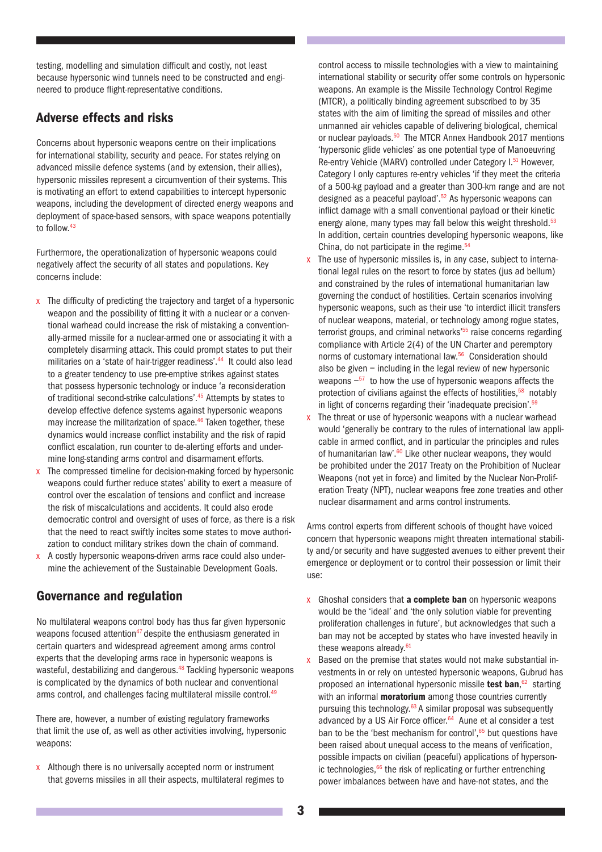testing, modelling and simulation difficult and costly, not least because hypersonic wind tunnels need to be constructed and engineered to produce flight-representative conditions.

#### Adverse effects and risks

Concerns about hypersonic weapons centre on their implications for international stability, security and peace. For states relying on advanced missile defence systems (and by extension, their allies), hypersonic missiles represent a circumvention of their systems. This is motivating an effort to extend capabilities to intercept hypersonic weapons, including the development of directed energy weapons and deployment of space-based sensors, with space weapons potentially to follow.<sup>43</sup>

Furthermore, the operationalization of hypersonic weapons could negatively affect the security of all states and populations. Key concerns include:

- x The difficulty of predicting the trajectory and target of a hypersonic weapon and the possibility of fitting it with a nuclear or a conventional warhead could increase the risk of mistaking a conventionally-armed missile for a nuclear-armed one or associating it with a completely disarming attack. This could prompt states to put their militaries on a 'state of hair-trigger readiness'.44 It could also lead to a greater tendency to use pre-emptive strikes against states that possess hypersonic technology or induce 'a reconsideration of traditional second-strike calculations'.45 Attempts by states to develop effective defence systems against hypersonic weapons may increase the militarization of space.<sup>46</sup> Taken together, these dynamics would increase conflict instability and the risk of rapid conflict escalation, run counter to de-alerting efforts and undermine long-standing arms control and disarmament efforts.
- x The compressed timeline for decision-making forced by hypersonic weapons could further reduce states' ability to exert a measure of control over the escalation of tensions and conflict and increase the risk of miscalculations and accidents. It could also erode democratic control and oversight of uses of force, as there is a risk that the need to react swiftly incites some states to move authorization to conduct military strikes down the chain of command.
- x A costly hypersonic weapons-driven arms race could also undermine the achievement of the Sustainable Development Goals.

### Governance and regulation

No multilateral weapons control body has thus far given hypersonic weapons focused attention<sup>47</sup> despite the enthusiasm generated in certain quarters and widespread agreement among arms control experts that the developing arms race in hypersonic weapons is wasteful, destabilizing and dangerous.<sup>48</sup> Tackling hypersonic weapons is complicated by the dynamics of both nuclear and conventional arms control, and challenges facing multilateral missile control.<sup>49</sup>

There are, however, a number of existing regulatory frameworks that limit the use of, as well as other activities involving, hypersonic weapons:

 $x$  Although there is no universally accepted norm or instrument that governs missiles in all their aspects, multilateral regimes to

control access to missile technologies with a view to maintaining international stability or security offer some controls on hypersonic weapons. An example is the Missile Technology Control Regime (MTCR), a politically binding agreement subscribed to by 35 states with the aim of limiting the spread of missiles and other unmanned air vehicles capable of delivering biological, chemical or nuclear payloads.<sup>50</sup> The MTCR Annex Handbook 2017 mentions 'hypersonic glide vehicles' as one potential type of Manoeuvring Re-entry Vehicle (MARV) controlled under Category I.<sup>51</sup> However, Category I only captures re-entry vehicles 'if they meet the criteria of a 500-kg payload and a greater than 300-km range and are not designed as a peaceful payload'.<sup>52</sup> As hypersonic weapons can inflict damage with a small conventional payload or their kinetic energy alone, many types may fall below this weight threshold.<sup>53</sup> In addition, certain countries developing hypersonic weapons, like China, do not participate in the regime. $54$ 

- x The use of hypersonic missiles is, in any case, subject to international legal rules on the resort to force by states (jus ad bellum) and constrained by the rules of international humanitarian law governing the conduct of hostilities. Certain scenarios involving hypersonic weapons, such as their use 'to interdict illicit transfers of nuclear weapons, material, or technology among rogue states, terrorist groups, and criminal networks<sup>'55</sup> raise concerns regarding compliance with Article 2(4) of the UN Charter and peremptory norms of customary international law.56 Consideration should also be given – including in the legal review of new hypersonic weapons  $-57$  to how the use of hypersonic weapons affects the protection of civilians against the effects of hostilities,<sup>58</sup> notably in light of concerns regarding their 'inadequate precision'.<sup>59</sup>
- $x$  The threat or use of hypersonic weapons with a nuclear warhead would 'generally be contrary to the rules of international law applicable in armed conflict, and in particular the principles and rules of humanitarian law'.<sup>60</sup> Like other nuclear weapons, they would be prohibited under the 2017 Treaty on the Prohibition of Nuclear Weapons (not yet in force) and limited by the Nuclear Non-Proliferation Treaty (NPT), nuclear weapons free zone treaties and other nuclear disarmament and arms control instruments.

Arms control experts from different schools of thought have voiced concern that hypersonic weapons might threaten international stability and/or security and have suggested avenues to either prevent their emergence or deployment or to control their possession or limit their use:

- x Ghoshal considers that **a complete ban** on hypersonic weapons would be the 'ideal' and 'the only solution viable for preventing proliferation challenges in future', but acknowledges that such a ban may not be accepted by states who have invested heavily in these weapons already.<sup>61</sup>
- x Based on the premise that states would not make substantial investments in or rely on untested hypersonic weapons, Gubrud has proposed an international hypersonic missile test ban,<sup>62</sup> starting with an informal **moratorium** among those countries currently pursuing this technology.<sup>63</sup> A similar proposal was subsequently advanced by a US Air Force officer.<sup>64</sup> Aune et al consider a test ban to be the 'best mechanism for control'. $65$  but questions have been raised about unequal access to the means of verification, possible impacts on civilian (peaceful) applications of hypersonic technologies, $66$  the risk of replicating or further entrenching power imbalances between have and have-not states, and the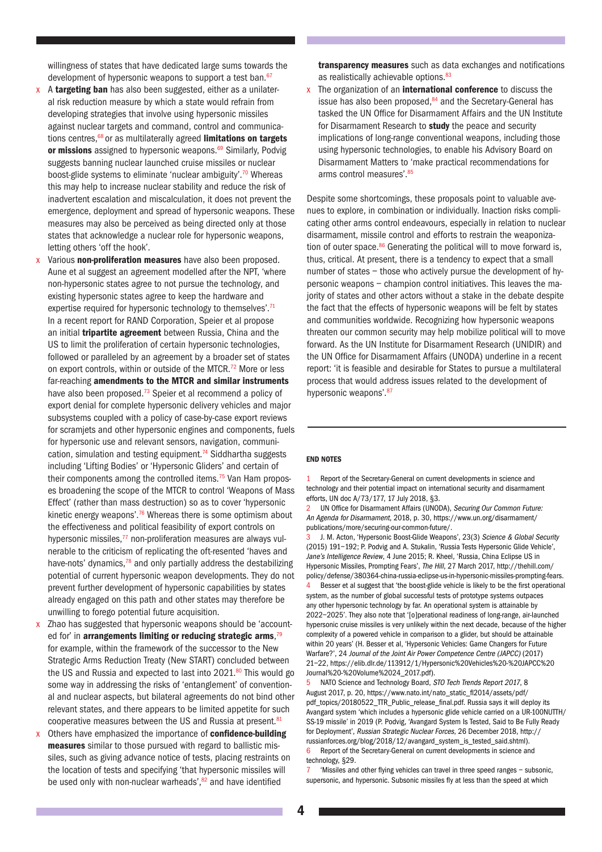willingness of states that have dedicated large sums towards the development of hypersonic weapons to support a test ban.<sup>67</sup>

- x A targeting ban has also been suggested, either as a unilateral risk reduction measure by which a state would refrain from developing strategies that involve using hypersonic missiles against nuclear targets and command, control and communications centres, $68$  or as multilaterally agreed limitations on targets or missions assigned to hypersonic weapons.<sup>69</sup> Similarly, Podvig suggests banning nuclear launched cruise missiles or nuclear boost-glide systems to eliminate 'nuclear ambiguity'.70 Whereas this may help to increase nuclear stability and reduce the risk of inadvertent escalation and miscalculation, it does not prevent the emergence, deployment and spread of hypersonic weapons. These measures may also be perceived as being directed only at those states that acknowledge a nuclear role for hypersonic weapons, letting others 'off the hook'.
- x Various non-proliferation measures have also been proposed. Aune et al suggest an agreement modelled after the NPT, 'where non-hypersonic states agree to not pursue the technology, and existing hypersonic states agree to keep the hardware and expertise required for hypersonic technology to themselves'.<sup>71</sup> In a recent report for RAND Corporation, Speier et al propose an initial **tripartite agreement** between Russia, China and the US to limit the proliferation of certain hypersonic technologies, followed or paralleled by an agreement by a broader set of states on export controls, within or outside of the MTCR.<sup>72</sup> More or less far-reaching amendments to the MTCR and similar instruments have also been proposed.<sup>73</sup> Speier et al recommend a policy of export denial for complete hypersonic delivery vehicles and major subsystems coupled with a policy of case-by-case export reviews for scramjets and other hypersonic engines and components, fuels for hypersonic use and relevant sensors, navigation, communication, simulation and testing equipment.<sup>74</sup> Siddhartha suggests including 'Lifting Bodies' or 'Hypersonic Gliders' and certain of their components among the controlled items.<sup>75</sup> Van Ham proposes broadening the scope of the MTCR to control 'Weapons of Mass Effect' (rather than mass destruction) so as to cover 'hypersonic kinetic energy weapons'.<sup>76</sup> Whereas there is some optimism about the effectiveness and political feasibility of export controls on hypersonic missiles, $77$  non-proliferation measures are always vulnerable to the criticism of replicating the oft-resented 'haves and have-nots' dynamics, $78$  and only partially address the destabilizing potential of current hypersonic weapon developments. They do not prevent further development of hypersonic capabilities by states already engaged on this path and other states may therefore be unwilling to forego potential future acquisition.
- x Zhao has suggested that hypersonic weapons should be 'accounted for' in arrangements limiting or reducing strategic arms,<sup>79</sup> for example, within the framework of the successor to the New Strategic Arms Reduction Treaty (New START) concluded between the US and Russia and expected to last into  $2021$ .<sup>80</sup> This would go some way in addressing the risks of 'entanglement' of conventional and nuclear aspects, but bilateral agreements do not bind other relevant states, and there appears to be limited appetite for such cooperative measures between the US and Russia at present.<sup>81</sup>
- x Others have emphasized the importance of **confidence-building** measures similar to those pursued with regard to ballistic missiles, such as giving advance notice of tests, placing restraints on the location of tests and specifying 'that hypersonic missiles will be used only with non-nuclear warheads', $82$  and have identified

transparency measures such as data exchanges and notifications as realistically achievable options.<sup>83</sup>

 $x$  The organization of an **international conference** to discuss the issue has also been proposed, $84$  and the Secretary-General has tasked the UN Office for Disarmament Affairs and the UN Institute for Disarmament Research to study the peace and security implications of long-range conventional weapons, including those using hypersonic technologies, to enable his Advisory Board on Disarmament Matters to 'make practical recommendations for arms control measures'.<sup>85</sup>

Despite some shortcomings, these proposals point to valuable avenues to explore, in combination or individually. Inaction risks complicating other arms control endeavours, especially in relation to nuclear disarmament, missile control and efforts to restrain the weaponization of outer space. $86$  Generating the political will to move forward is, thus, critical. At present, there is a tendency to expect that a small number of states – those who actively pursue the development of hypersonic weapons – champion control initiatives. This leaves the majority of states and other actors without a stake in the debate despite the fact that the effects of hypersonic weapons will be felt by states and communities worldwide. Recognizing how hypersonic weapons threaten our common security may help mobilize political will to move forward. As the UN Institute for Disarmament Research (UNIDIR) and the UN Office for Disarmament Affairs (UNODA) underline in a recent report: 'it is feasible and desirable for States to pursue a multilateral process that would address issues related to the development of hypersonic weapons' 87

#### END NOTES

1 Report of the Secretary-General on current developments in science and technology and their potential impact on international security and disarmament efforts, UN doc A/73/177, 17 July 2018, §3.

2 UN Office for Disarmament Affairs (UNODA), Securing Our Common Future: An Agenda for Disarmament, 2018, p. 30, [https://www.un.org/disarmament/](https://www.un.org/disarmament/publications/more/securing-our-common-future/) [publications/more/securing-our-common-future/.](https://www.un.org/disarmament/publications/more/securing-our-common-future/)

J. M. Acton, 'Hypersonic Boost-Glide Weapons', 23(3) Science & Global Security (2015) 191–192; P. Podvig and A. Stukalin, 'Russia Tests Hypersonic Glide Vehicle', Jane's Intelligence Review, 4 June 2015; R. Kheel, 'Russia, China Eclipse US in Hypersonic Missiles, Prompting Fears', The Hill, 27 March 2017, [http://thehill.com/](http://thehill.com/policy/defense/380364-china-russia-eclipse-us-in-hypersonic-missiles-prompting-fears) [policy/defense/380364-china-russia-eclipse-us-in-hypersonic-missiles-prompting-fears.](http://thehill.com/policy/defense/380364-china-russia-eclipse-us-in-hypersonic-missiles-prompting-fears) 4 Besser et al suggest that 'the boost-glide vehicle is likely to be the first operational system, as the number of global successful tests of prototype systems outpaces any other hypersonic technology by far. An operational system is attainable by 2022–2025'. They also note that '[o]perational readiness of long-range, air-launched hypersonic cruise missiles is very unlikely within the next decade, because of the higher complexity of a powered vehicle in comparison to a glider, but should be attainable within 20 years' (H. Besser et al, 'Hypersonic Vehicles: Game Changers for Future Warfare?', 24 Journal of the Joint Air Power Competence Centre (JAPCC) (2017) 21–22, [https://elib.dlr.de/113912/1/Hypersonic%20Vehicles%20-%20JAPCC%20](https://elib.dlr.de/113912/1/Hypersonic%20Vehicles%20-%20JAPCC%20Journal%20-%20Volume%2024_2017.pdf) [Journal%20-%20Volume%2024\\_2017.pdf](https://elib.dlr.de/113912/1/Hypersonic%20Vehicles%20-%20JAPCC%20Journal%20-%20Volume%2024_2017.pdf)).

5 NATO Science and Technology Board, STO Tech Trends Report 2017, 8 August 2017, p. 20, [https://www.nato.int/nato\\_static\\_fl2014/assets/pdf/](https://www.nato.int/nato_static_fl2014/assets/pdf/pdf_topics/20180522_TTR_Public_release_final.pdf) [pdf\\_topics/20180522\\_TTR\\_Public\\_release\\_final.pdf](https://www.nato.int/nato_static_fl2014/assets/pdf/pdf_topics/20180522_TTR_Public_release_final.pdf). Russia says it will deploy its Avangard system 'which includes a hypersonic glide vehicle carried on a UR-100NUTTH/ SS-19 missile' in 2019 (P. Podvig, 'Avangard System Is Tested, Said to Be Fully Ready for Deployment', Russian Strategic Nuclear Forces, 26 December 2018, [http://](http://russianforces.org/blog/2018/12/avangard_system_is_tested_said.shtml) [russianforces.org/blog/2018/12/avangard\\_system\\_is\\_tested\\_said.shtml\)](http://russianforces.org/blog/2018/12/avangard_system_is_tested_said.shtml). 6 Report of the Secretary-General on current developments in science and technology, §29.

7 'Missiles and other flying vehicles can travel in three speed ranges – subsonic, supersonic, and hypersonic. Subsonic missiles fly at less than the speed at which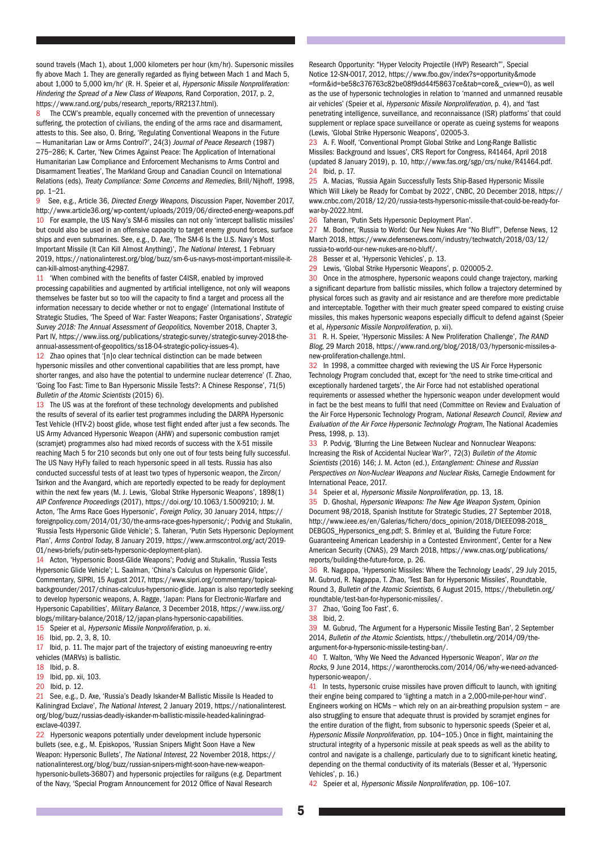sound travels (Mach 1), about 1,000 kilometers per hour (km/hr). Supersonic missiles fly above Mach 1. They are generally regarded as flying between Mach 1 and Mach 5, about 1,000 to 5,000 km/hr' (R. H. Speier et al, Hypersonic Missile Nonproliferation: Hindering the Spread of a New Class of Weapons, Rand Corporation, 2017, p. 2, [https://www.rand.org/pubs/research\\_reports/RR2137.html\)](https://www.rand.org/pubs/research_reports/RR2137.html).

The CCW's preamble, equally concerned with the prevention of unnecessary suffering, the protection of civilians, the ending of the arms race and disarmament, attests to this. See also, O. Bring, 'Regulating Conventional Weapons in the Future – Humanitarian Law or Arms Control?', 24(3) Journal of Peace Research (1987) 275–286; K. Carter, 'New Crimes Against Peace: The Application of International Humanitarian Law Compliance and Enforcement Mechanisms to Arms Control and Disarmament Treaties', The Markland Group and Canadian Council on International Relations (eds), Treaty Compliance: Some Concerns and Remedies, Brill/Nijhoff, 1998, pp. 1–21.

9 See, e.g., Article 36, Directed Energy Weapons, Discussion Paper, November 2017, <http://www.article36.org/wp-content/uploads/2019/06/directed-energy-weapons.pdf> 10 For example, the US Navy's SM-6 missiles can not only 'intercept ballistic missiles' but could also be used in an offensive capacity to target enemy ground forces, surface ships and even submarines. See, e.g., D. Axe, 'The SM-6 Is the U.S. Navy's Most Important Missile (It Can Kill Almost Anything)', The National Interest, 1 February 2019, [https://nationalinterest.org/blog/buzz/sm-6-us-navys-most-important-missile-it](https://nationalinterest.org/blog/buzz/sm-6-us-navys-most-important-missile-it-can-kill-almost-anything-42987)[can-kill-almost-anything-42987.](https://nationalinterest.org/blog/buzz/sm-6-us-navys-most-important-missile-it-can-kill-almost-anything-42987)

11 'When combined with the benefits of faster C4ISR, enabled by improved processing capabilities and augmented by artificial intelligence, not only will weapons themselves be faster but so too will the capacity to find a target and process all the information necessary to decide whether or not to engage' (International Institute of Strategic Studies, 'The Speed of War: Faster Weapons; Faster Organisations', Strategic Survey 2018: The Annual Assessment of Geopolitics, November 2018, Chapter 3, Part IV, [https://www.iiss.org/publications/strategic-survey/strategic-survey-2018-the](https://www.iiss.org/publications/strategic-survey/strategic-survey-2018-the-annual-assessment-of-geopolitics/ss18-04-strategic-policy-issues-4)[annual-assessment-of-geopolitics/ss18-04-strategic-policy-issues-4\)](https://www.iiss.org/publications/strategic-survey/strategic-survey-2018-the-annual-assessment-of-geopolitics/ss18-04-strategic-policy-issues-4).

12 Zhao opines that '[n]o clear technical distinction can be made between hypersonic missiles and other conventional capabilities that are less prompt, have shorter ranges, and also have the potential to undermine nuclear deterrence' (T. Zhao, 'Going Too Fast: Time to Ban Hypersonic Missile Tests?: A Chinese Response', 71(5) Bulletin of the Atomic Scientists (2015) 6).

13 The US was at the forefront of these technology developments and published the results of several of its earlier test programmes including the DARPA Hypersonic Test Vehicle (HTV-2) boost glide, whose test flight ended after just a few seconds. The US Army Advanced Hypersonic Weapon (AHW) and supersonic combustion ramjet (scramjet) programmes also had mixed records of success with the X-51 missile reaching Mach 5 for 210 seconds but only one out of four tests being fully successful. The US Navy HyFly failed to reach hypersonic speed in all tests. Russia has also conducted successful tests of at least two types of hypersonic weapon, the Zircon/ Tsirkon and the Avangard, which are reportedly expected to be ready for deployment within the next few years (M. J. Lewis, 'Global Strike Hypersonic Weapons', 1898(1) AIP Conference Proceedings (2017), <https://doi.org/10.1063/1.5009210>; J. M. Acton, 'The Arms Race Goes Hypersonic', Foreign Policy, 30 January 2014, [https://](https://foreignpolicy.com/2014/01/30/the-arms-race-goes-hypersonic/) [foreignpolicy.com/2014/01/30/the-arms-race-goes-hypersonic/;](https://foreignpolicy.com/2014/01/30/the-arms-race-goes-hypersonic/) Podvig and Stukalin, 'Russia Tests Hypersonic Glide Vehicle'; S. Taheran, 'Putin Sets Hypersonic Deployment Plan', Arms Control Today, 8 January 2019, [https://www.armscontrol.org/act/2019-](https://www.armscontrol.org/act/2019-01/news-briefs/putin-sets-hypersonic-deployment-plan) [01/news-briefs/putin-sets-hypersonic-deployment-plan\)](https://www.armscontrol.org/act/2019-01/news-briefs/putin-sets-hypersonic-deployment-plan).

14 Acton, 'Hypersonic Boost-Glide Weapons'; Podvig and Stukalin, 'Russia Tests Hypersonic Glide Vehicle'; L. Saalman, 'China's Calculus on Hypersonic Glide', Commentary, SIPRI, 15 August 2017, [https://www.sipri.org/commentary/topical](https://www.sipri.org/commentary/topical-backgrounder/2017/chinas-calculus-hypersonic-glide)[backgrounder/2017/chinas-calculus-hypersonic-glide.](https://www.sipri.org/commentary/topical-backgrounder/2017/chinas-calculus-hypersonic-glide) Japan is also reportedly seeking to develop hypersonic weapons, A. Ragge, 'Japan: Plans for Electronic-Warfare and Hypersonic Capabilities', Military Balance, 3 December 2018, [https://www.iiss.org/](https://www.iiss.org/blogs/military-balance/2018/12/japan-plans-hypersonic-capabilities) [blogs/military-balance/2018/12/japan-plans-hypersonic-capabilities.](https://www.iiss.org/blogs/military-balance/2018/12/japan-plans-hypersonic-capabilities)

15 Speier et al, Hypersonic Missile Nonproliferation, p. xi.

16 Ibid, pp. 2, 3, 8, 10.

17 Ibid, p. 11. The major part of the trajectory of existing manoeuvring re-entry vehicles (MARVs) is ballistic.

18 Ibid, p. 8.

20 Ibid, p. 12.

21 See, e.g., D. Axe, 'Russia's Deadly Iskander-M Ballistic Missile Is Headed to Kaliningrad Exclave', The National Interest, 2 January 2019, [https://nationalinterest.](https://nationalinterest.org/blog/buzz/russias-deadly-iskander-m-ballistic-missile-headed-kaliningrad-exclave-40397) [org/blog/buzz/russias-deadly-iskander-m-ballistic-missile-headed-kaliningrad](https://nationalinterest.org/blog/buzz/russias-deadly-iskander-m-ballistic-missile-headed-kaliningrad-exclave-40397)[exclave-40397](https://nationalinterest.org/blog/buzz/russias-deadly-iskander-m-ballistic-missile-headed-kaliningrad-exclave-40397).

22 Hypersonic weapons potentially under development include hypersonic bullets (see, e.g., M. Episkopos, 'Russian Snipers Might Soon Have a New Weapon: Hypersonic Bullets', The National Interest, 22 November 2018, [https://](https://nationalinterest.org/blog/buzz/russian-snipers-might-soon-have-new-weapon-hypersonic-bullets-36807) [nationalinterest.org/blog/buzz/russian-snipers-might-soon-have-new-weapon](https://nationalinterest.org/blog/buzz/russian-snipers-might-soon-have-new-weapon-hypersonic-bullets-36807)[hypersonic-bullets-36807\)](https://nationalinterest.org/blog/buzz/russian-snipers-might-soon-have-new-weapon-hypersonic-bullets-36807) and hypersonic projectiles for railguns (e.g. Department of the Navy, 'Special Program Announcement for 2012 Office of Naval Research

Research Opportunity: "Hyper Velocity Projectile (HVP) Research"', Special Notice 12-SN-0017, 2012, <https://www.fbo.gov/index?s=opportunity&mode> =form&id=be58c376763c82be08f9dd44f58637ce&tab=core&\_cview=0), as well as the use of hypersonic technologies in relation to 'manned and unmanned reusable air vehicles' (Speier et al, Hypersonic Missile Nonproliferation, p. 4), and 'fast penetrating intelligence, surveillance, and reconnaissance (ISR) platforms' that could supplement or replace space surveillance or operate as cueing systems for weapons (Lewis, 'Global Strike Hypersonic Weapons', 02005-3.

23 A. F. Woolf, 'Conventional Prompt Global Strike and Long-Range Ballistic Missiles: Background and Issues', CRS Report for Congress, R41464, April 2018 (updated 8 January 2019), p. 10, <http://www.fas.org/sgp/crs/nuke/R41464.pdf>. 24 Ibid, p. 17.

25 A. Macias, 'Russia Again Successfully Tests Ship-Based Hypersonic Missile Which Will Likely be Ready for Combat by 2022', CNBC, 20 December 2018, [https://](https://www.cnbc.com/2018/12/20/russia-tests-hypersonic-missile-that-could-be-ready-for-war-by-2022.html) [www.cnbc.com/2018/12/20/russia-tests-hypersonic-missile-that-could-be-ready-for](https://www.cnbc.com/2018/12/20/russia-tests-hypersonic-missile-that-could-be-ready-for-war-by-2022.html)[war-by-2022.html](https://www.cnbc.com/2018/12/20/russia-tests-hypersonic-missile-that-could-be-ready-for-war-by-2022.html).

26 Taheran, 'Putin Sets Hypersonic Deployment Plan'.

27 M. Bodner, 'Russia to World: Our New Nukes Are "No Bluff"', Defense News, 12 March 2018, [https://www.defensenews.com/industry/techwatch/2018/03/12/](https://www.defensenews.com/industry/techwatch/2018/03/12/russia-to-world-our-new-nukes-are-no-bluff/) [russia-to-world-our-new-nukes-are-no-bluff/.](https://www.defensenews.com/industry/techwatch/2018/03/12/russia-to-world-our-new-nukes-are-no-bluff/)

28 Besser et al, 'Hypersonic Vehicles', p. 13.

29 Lewis, 'Global Strike Hypersonic Weapons', p. 020005-2.

30 Once in the atmosphere, hypersonic weapons could change trajectory, marking a significant departure from ballistic missiles, which follow a trajectory determined by physical forces such as gravity and air resistance and are therefore more predictable and interceptable. Together with their much greater speed compared to existing cruise missiles, this makes hypersonic weapons especially difficult to defend against (Speier et al, Hypersonic Missile Nonproliferation, p. xii).

31 R. H. Speier, 'Hypersonic Missiles: A New Proliferation Challenge', The RAND Blog, 29 March 2018, [https://www.rand.org/blog/2018/03/hypersonic-missiles-a](https://www.rand.org/blog/2018/03/hypersonic-missiles-a-new-proliferation-challenge.html)[new-proliferation-challenge.html](https://www.rand.org/blog/2018/03/hypersonic-missiles-a-new-proliferation-challenge.html).

32 In 1998, a committee charged with reviewing the US Air Force Hypersonic Technology Program concluded that, except for 'the need to strike time-critical and exceptionally hardened targets', the Air Force had not established operational requirements or assessed whether the hypersonic weapon under development would in fact be the best means to fulfil that need (Committee on Review and Evaluation of the Air Force Hypersonic Technology Program, National Research Council, Review and Evaluation of the Air Force Hypersonic Technology Program, The National Academies Press, 1998, p. 13).

33 P. Podvig, 'Blurring the Line Between Nuclear and Nonnuclear Weapons: Increasing the Risk of Accidental Nuclear War?', 72(3) Bulletin of the Atomic Scientists (2016) 146; J. M. Acton (ed.), Entanglement: Chinese and Russian Perspectives on Non-Nuclear Weapons and Nuclear Risks, Carnegie Endowment for International Peace, 2017.

34 Speier et al, Hypersonic Missile Nonproliferation, pp. 13, 18.

35 D. Ghoshal, Hypersonic Weapons: The New Age Weapon System, Opinion Document 98/2018, Spanish Institute for Strategic Studies, 27 September 2018, [http://www.ieee.es/en/Galerias/fichero/docs\\_opinion/2018/DIEEEO98-2018\\_](http://www.ieee.es/en/Galerias/fichero/docs_opinion/2018/DIEEEO98-2018_DEBGOS_Hypersonics_eng.pdf) [DEBGOS\\_Hypersonics\\_eng.pdf;](http://www.ieee.es/en/Galerias/fichero/docs_opinion/2018/DIEEEO98-2018_DEBGOS_Hypersonics_eng.pdf) S. Brimley et al, 'Building the Future Force: Guaranteeing American Leadership in a Contested Environment', Center for a New American Security (CNAS), 29 March 2018, [https://www.cnas.org/publications/](https://www.cnas.org/publications/reports/building-the-future-force) [reports/building-the-future-force](https://www.cnas.org/publications/reports/building-the-future-force), p. 26.

36 R. Nagappa, 'Hypersonic Missiles: Where the Technology Leads', 29 July 2015, M. Gubrud, R. Nagappa, T. Zhao, 'Test Ban for Hypersonic Missiles', Roundtable, Round 3, Bulletin of the Atomic Scientists, 6 August 2015, [https://thebulletin.org/](https://thebulletin.org/roundtable/test-ban-for-hypersonic-missiles/) [roundtable/test-ban-for-hypersonic-missiles/](https://thebulletin.org/roundtable/test-ban-for-hypersonic-missiles/).

- 37 Zhao, 'Going Too Fast', 6.
- 38 Ibid, 2.

39 M. Gubrud, 'The Argument for a Hypersonic Missile Testing Ban', 2 September 2014, Bulletin of the Atomic Scientists, [https://thebulletin.org/2014/09/the](https://thebulletin.org/2014/09/the-argument-for-a-hypersonic-missile-testing-ban/)[argument-for-a-hypersonic-missile-testing-ban/](https://thebulletin.org/2014/09/the-argument-for-a-hypersonic-missile-testing-ban/).

40 T. Walton, 'Why We Need the Advanced Hypersonic Weapon', War on the Rocks, 9 June 2014, [https://warontherocks.com/2014/06/why-we-need-advanced](https://warontherocks.com/2014/06/why-we-need-advanced-hypersonic-weapon/)[hypersonic-weapon/](https://warontherocks.com/2014/06/why-we-need-advanced-hypersonic-weapon/).

41 In tests, hypersonic cruise missiles have proven difficult to launch, with igniting their engine being compared to 'lighting a match in a 2,000-mile-per-hour wind'. Engineers working on HCMs – which rely on an air-breathing propulsion system – are also struggling to ensure that adequate thrust is provided by scramjet engines for the entire duration of the flight, from subsonic to hypersonic speeds (Speier et al, Hypersonic Missile Nonproliferation, pp. 104–105.) Once in flight, maintaining the structural integrity of a hypersonic missile at peak speeds as well as the ability to control and navigate is a challenge, particularly due to to significant kinetic heating, depending on the thermal conductivity of its materials (Besser et al, 'Hypersonic Vehicles', p. 16.)

42 Speier et al, Hypersonic Missile Nonproliferation, pp. 106–107.

<sup>19</sup> Ibid, pp. xii, 103.